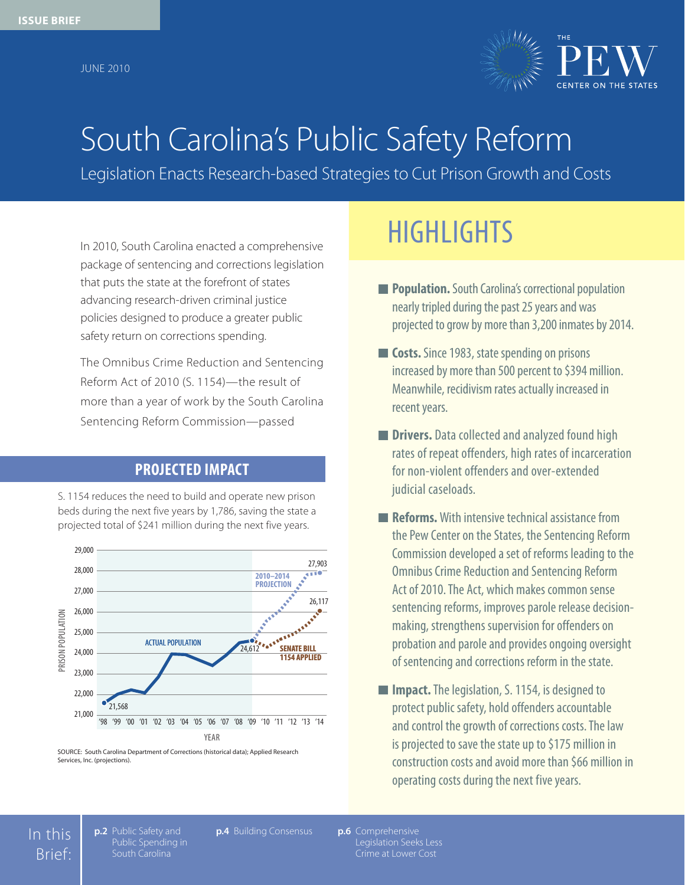June 2010



# South Carolina's Public Safety Reform

Legislation Enacts Research-based Strategies to Cut Prison Growth and Costs

package of sentencing and corrections legislation that puts the state at the forefront of states advancing research-driven criminal justice policies designed to produce a greater public safety return on corrections spending.

The Omnibus Crime Reduction and Sentencing Reform Act of 2010 (S. 1154)—the result of more than a year of work by the South Carolina Sentencing Reform Commission—passed

## **PROJECTED IMPACT**

S. 1154 reduces the need to build and operate new prison beds during the next five years by 1,786, saving the state a projected total of \$241 million during the next five years.



SOURCE: South Carolina Department of Corrections (historical data); Applied Research Services, Inc. (projections).

## In 2010, South Carolina enacted a comprehensive **HIGHLIGHTS**

- **Population.** South Carolina's correctional population nearly tripled during the past 25 years and was projected to grow by more than 3,200 inmates by 2014.
- **Costs.** Since 1983, state spending on prisons increased by more than 500 percent to \$394 million. Meanwhile, recidivism rates actually increased in recent years.
- **Drivers.** Data collected and analyzed found high rates of repeat offenders, high rates of incarceration for non-violent offenders and over-extended judicial caseloads.
- **Reforms.** With intensive technical assistance from the Pew Center on the States, the Sentencing Reform Commission developed a set of reforms leading to the Omnibus Crime Reduction and Sentencing Reform Act of 2010. The Act, which makes common sense sentencing reforms, improves parole release decisionmaking, strengthens supervision for offenders on probation and parole and provides ongoing oversight of sentencing and corrections reform in the state.
- **Impact.** The legislation, S. 1154, is designed to protect public safety, hold offenders accountable and control the growth of corrections costs. The law is projected to save the state up to \$175 million in construction costs and avoid more than \$66 million in operating costs during the next five years.

In this Brief:

**p.2** Public Safety and Public Spending in South Carolina

**p.4** Building Consensus **p.6** Comprehensive

**p.6** Comprehensive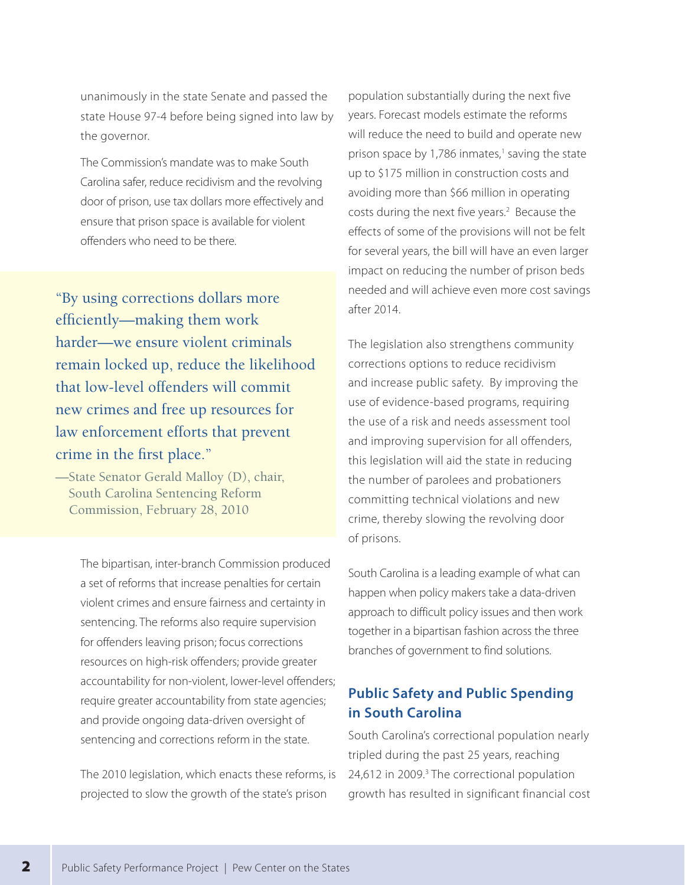unanimously in the state Senate and passed the state House 97-4 before being signed into law by the governor.

The Commission's mandate was to make South Carolina safer, reduce recidivism and the revolving door of prison, use tax dollars more effectively and ensure that prison space is available for violent offenders who need to be there.

"By using corrections dollars more efficiently—making them work harder—we ensure violent criminals remain locked up, reduce the likelihood that low-level offenders will commit new crimes and free up resources for law enforcement efforts that prevent crime in the first place."

—State Senator Gerald Malloy (D), chair, South Carolina Sentencing Reform Commission, February 28, 2010

> The bipartisan, inter-branch Commission produced a set of reforms that increase penalties for certain violent crimes and ensure fairness and certainty in sentencing. The reforms also require supervision for offenders leaving prison; focus corrections resources on high-risk offenders; provide greater accountability for non-violent, lower-level offenders; require greater accountability from state agencies; and provide ongoing data-driven oversight of sentencing and corrections reform in the state.

> The 2010 legislation, which enacts these reforms, is projected to slow the growth of the state's prison

population substantially during the next five years. Forecast models estimate the reforms will reduce the need to build and operate new prison space by 1,786 inmates,<sup>1</sup> saving the state up to \$175 million in construction costs and avoiding more than \$66 million in operating costs during the next five years.<sup>2</sup> Because the effects of some of the provisions will not be felt for several years, the bill will have an even larger impact on reducing the number of prison beds needed and will achieve even more cost savings after 2014.

The legislation also strengthens community corrections options to reduce recidivism and increase public safety. By improving the use of evidence-based programs, requiring the use of a risk and needs assessment tool and improving supervision for all offenders, this legislation will aid the state in reducing the number of parolees and probationers committing technical violations and new crime, thereby slowing the revolving door of prisons.

South Carolina is a leading example of what can happen when policy makers take a data-driven approach to difficult policy issues and then work together in a bipartisan fashion across the three branches of government to find solutions.

## **Public Safety and Public Spending in South Carolina**

South Carolina's correctional population nearly tripled during the past 25 years, reaching 24,612 in 2009.<sup>3</sup> The correctional population growth has resulted in significant financial cost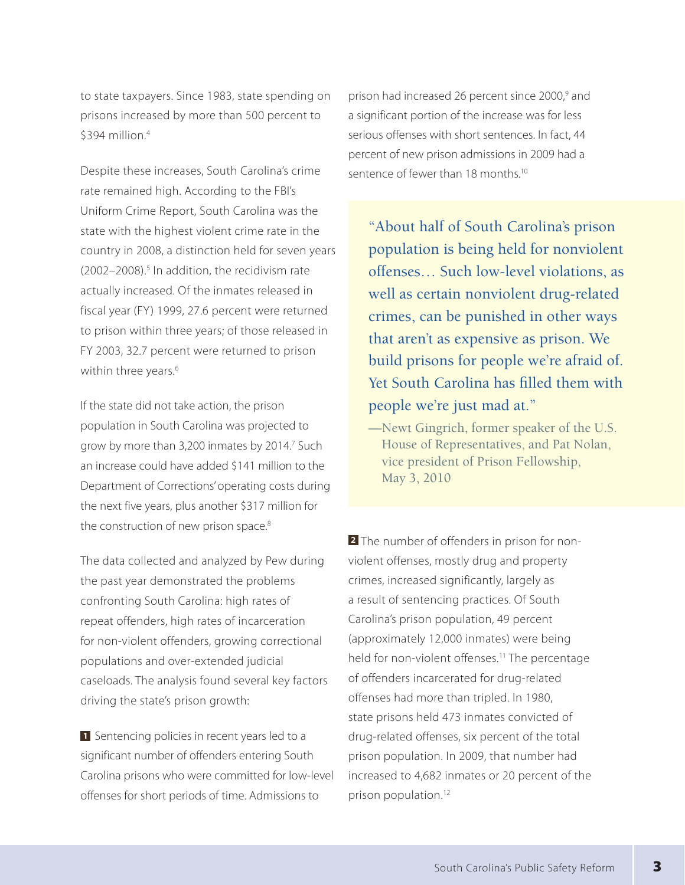to state taxpayers. Since 1983, state spending on prisons increased by more than 500 percent to \$394 million.<sup>4</sup>

Despite these increases, South Carolina's crime rate remained high. According to the FBI's Uniform Crime Report, South Carolina was the state with the highest violent crime rate in the country in 2008, a distinction held for seven years (2002-2008).<sup>5</sup> In addition, the recidivism rate actually increased. Of the inmates released in fiscal year (FY) 1999, 27.6 percent were returned to prison within three years; of those released in FY 2003, 32.7 percent were returned to prison within three years.<sup>6</sup>

If the state did not take action, the prison population in South Carolina was projected to grow by more than 3,200 inmates by 2014.<sup>7</sup> Such an increase could have added \$141 million to the Department of Corrections' operating costs during the next five years, plus another \$317 million for the construction of new prison space.<sup>8</sup>

The data collected and analyzed by Pew during the past year demonstrated the problems confronting South Carolina: high rates of repeat offenders, high rates of incarceration for non-violent offenders, growing correctional populations and over-extended judicial caseloads. The analysis found several key factors driving the state's prison growth:

**1** Sentencing policies in recent years led to a significant number of offenders entering South Carolina prisons who were committed for low-level offenses for short periods of time. Admissions to

prison had increased 26 percent since 2000,<sup>9</sup> and a significant portion of the increase was for less serious offenses with short sentences. In fact, 44 percent of new prison admissions in 2009 had a sentence of fewer than 18 months.<sup>10</sup>

"About half of South Carolina's prison population is being held for nonviolent offenses… Such low-level violations, as well as certain nonviolent drug-related crimes, can be punished in other ways that aren't as expensive as prison. We build prisons for people we're afraid of. Yet South Carolina has filled them with people we're just mad at."

—Newt Gingrich, former speaker of the U.S. House of Representatives, and Pat Nolan, vice president of Prison Fellowship, May 3, 2010

**2** The number of offenders in prison for nonviolent offenses, mostly drug and property crimes, increased significantly, largely as a result of sentencing practices. Of South Carolina's prison population, 49 percent (approximately 12,000 inmates) were being held for non-violent offenses.<sup>11</sup> The percentage of offenders incarcerated for drug-related offenses had more than tripled. In 1980, state prisons held 473 inmates convicted of drug-related offenses, six percent of the total prison population. In 2009, that number had increased to 4,682 inmates or 20 percent of the prison population.12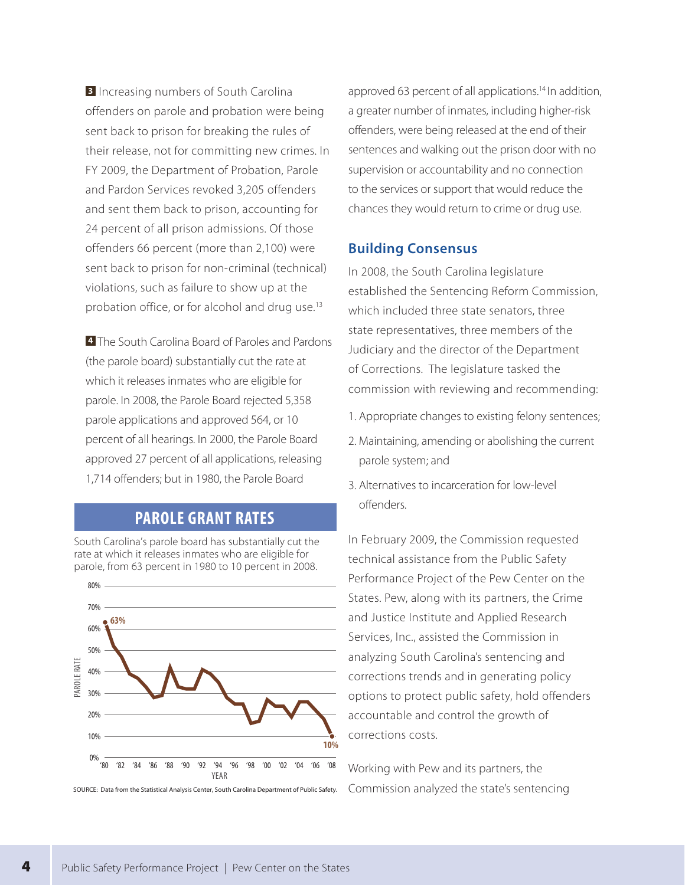**3** Increasing numbers of South Carolina offenders on parole and probation were being sent back to prison for breaking the rules of their release, not for committing new crimes. In FY 2009, the Department of Probation, Parole and Pardon Services revoked 3,205 offenders and sent them back to prison, accounting for 24 percent of all prison admissions. Of those offenders 66 percent (more than 2,100) were sent back to prison for non-criminal (technical) violations, such as failure to show up at the probation office, or for alcohol and drug use.<sup>13</sup>

**4** The South Carolina Board of Paroles and Pardons (the parole board) substantially cut the rate at which it releases inmates who are eligible for parole. In 2008, the Parole Board rejected 5,358 parole applications and approved 564, or 10 percent of all hearings. In 2000, the Parole Board approved 27 percent of all applications, releasing 1,714 offenders; but in 1980, the Parole Board

## **PAROLE GRANT RATES**

South Carolina's parole board has substantially cut the rate at which it releases inmates who are eligible for parole, from 63 percent in 1980 to 10 percent in 2008.



approved 63 percent of all applications.<sup>14</sup> In addition, a greater number of inmates, including higher-risk offenders, were being released at the end of their sentences and walking out the prison door with no supervision or accountability and no connection to the services or support that would reduce the chances they would return to crime or drug use.

#### **Building Consensus**

In 2008, the South Carolina legislature established the Sentencing Reform Commission, which included three state senators, three state representatives, three members of the Judiciary and the director of the Department of Corrections. The legislature tasked the commission with reviewing and recommending:

- 1. Appropriate changes to existing felony sentences;
- 2. Maintaining, amending or abolishing the current parole system; and
- 3. Alternatives to incarceration for low-level offenders.

In February 2009, the Commission requested technical assistance from the Public Safety Performance Project of the Pew Center on the States. Pew, along with its partners, the Crime and Justice Institute and Applied Research Services, Inc., assisted the Commission in analyzing South Carolina's sentencing and corrections trends and in generating policy options to protect public safety, hold offenders accountable and control the growth of corrections costs.

Working with Pew and its partners, the SOURCE: Data from the Statistical Analysis Center, South Carolina Department of Public Safety. Commission analyzed the state's sentencing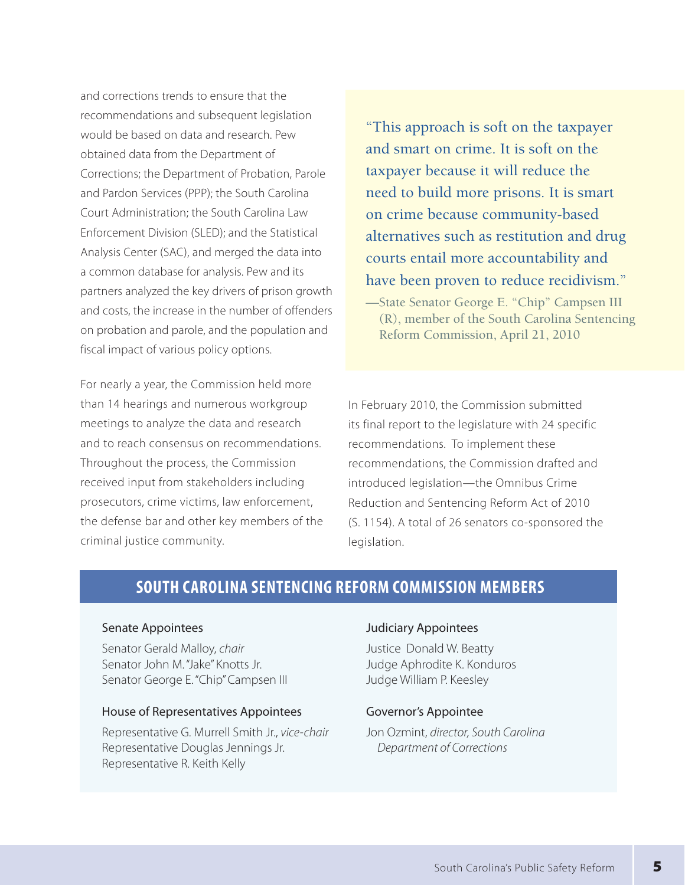and corrections trends to ensure that the recommendations and subsequent legislation would be based on data and research. Pew obtained data from the Department of Corrections; the Department of Probation, Parole and Pardon Services (PPP); the South Carolina Court Administration; the South Carolina Law Enforcement Division (SLED); and the Statistical Analysis Center (SAC), and merged the data into a common database for analysis. Pew and its partners analyzed the key drivers of prison growth and costs, the increase in the number of offenders on probation and parole, and the population and fiscal impact of various policy options.

For nearly a year, the Commission held more than 14 hearings and numerous workgroup meetings to analyze the data and research and to reach consensus on recommendations. Throughout the process, the Commission received input from stakeholders including prosecutors, crime victims, law enforcement, the defense bar and other key members of the criminal justice community.

"This approach is soft on the taxpayer and smart on crime. It is soft on the taxpayer because it will reduce the need to build more prisons. It is smart on crime because community-based alternatives such as restitution and drug courts entail more accountability and have been proven to reduce recidivism."

—State Senator George E. "Chip" Campsen III (R), member of the South Carolina Sentencing Reform Commission, April 21, 2010

In February 2010, the Commission submitted its final report to the legislature with 24 specific recommendations. To implement these recommendations, the Commission drafted and introduced legislation—the Omnibus Crime Reduction and Sentencing Reform Act of 2010 (S. 1154). A total of 26 senators co-sponsored the legislation.

## **South Carolina Sentencing Reform Commission Members**

#### Senate Appointees

Senator Gerald Malloy, *chair*  Senator John M. "Jake" Knotts Jr. Senator George E. "Chip" Campsen III

#### House of Representatives Appointees

Representative G. Murrell Smith Jr., *vice-chair*  Representative Douglas Jennings Jr. Representative R. Keith Kelly

#### Judiciary Appointees

Justice Donald W. Beatty Judge Aphrodite K. Konduros Judge William P. Keesley

#### Governor's Appointee

Jon Ozmint, *director, South Carolina Department of Corrections*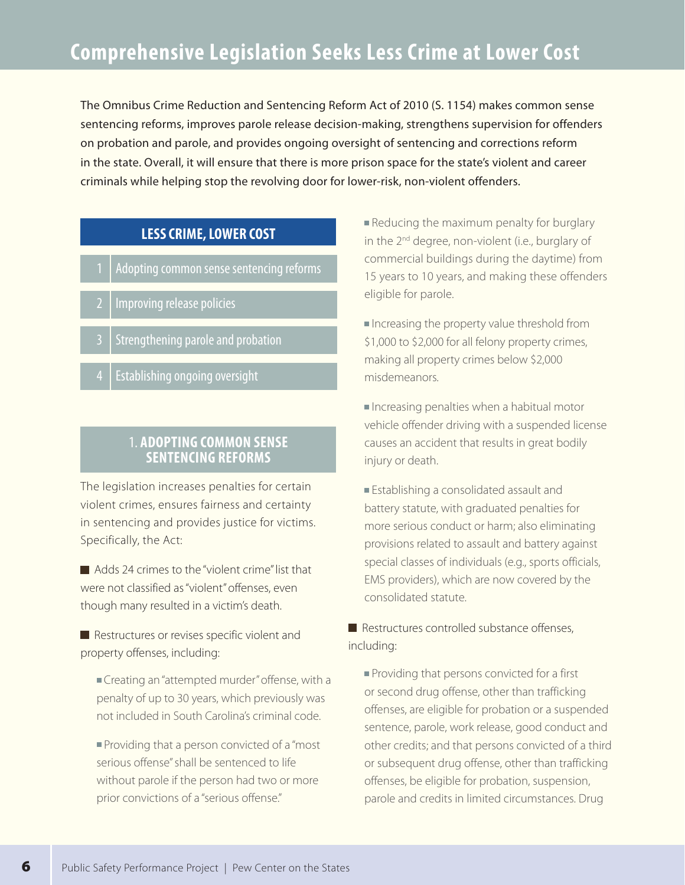The Omnibus Crime Reduction and Sentencing Reform Act of 2010 (S. 1154) makes common sense sentencing reforms, improves parole release decision-making, strengthens supervision for offenders on probation and parole, and provides ongoing oversight of sentencing and corrections reform in the state. Overall, it will ensure that there is more prison space for the state's violent and career criminals while helping stop the revolving door for lower-risk, non-violent offenders.

## **LESS CRIME, LOWER COST**

- Adopting common sense sentencing reforms
- **Improving release policies**
- 3 Strengthening parole and probation
- Establishing ongoing oversight

### 1. **Adopting Common Sense Sentencing Reforms**

The legislation increases penalties for certain violent crimes, ensures fairness and certainty in sentencing and provides justice for victims. Specifically, the Act:

Adds 24 crimes to the "violent crime" list that were not classified as "violent" offenses, even though many resulted in a victim's death.

Restructures or revises specific violent and property offenses, including:

- Creating an "attempted murder" offense, with a penalty of up to 30 years, which previously was not included in South Carolina's criminal code.
- **Providing that a person convicted of a "most"** serious offense" shall be sentenced to life without parole if the person had two or more prior convictions of a "serious offense."

Reducing the maximum penalty for burglary in the 2<sup>nd</sup> degree, non-violent (i.e., burglary of commercial buildings during the daytime) from 15 years to 10 years, and making these offenders eligible for parole.

Increasing the property value threshold from \$1,000 to \$2,000 for all felony property crimes, making all property crimes below \$2,000 misdemeanors.

Increasing penalties when a habitual motor vehicle offender driving with a suspended license causes an accident that results in great bodily injury or death.

**Establishing a consolidated assault and** battery statute, with graduated penalties for more serious conduct or harm; also eliminating provisions related to assault and battery against special classes of individuals (e.g., sports officials, EMS providers), which are now covered by the consolidated statute.

Restructures controlled substance offenses, including:

**Providing that persons convicted for a first** or second drug offense, other than trafficking offenses, are eligible for probation or a suspended sentence, parole, work release, good conduct and other credits; and that persons convicted of a third or subsequent drug offense, other than trafficking offenses, be eligible for probation, suspension, parole and credits in limited circumstances. Drug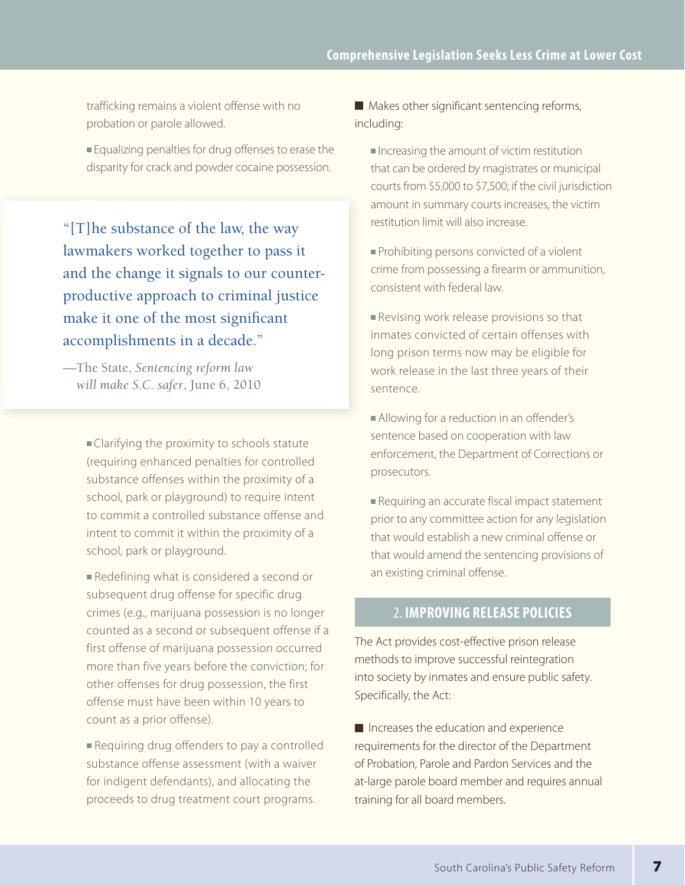trafficking remains a violent offense with no probation or parole allowed.

Equalizing penalties for drug offenses to erase the disparity for crack and powder cocaine possession.

"[T]he substance of the law, the way lawmakers worked together to pass it and the change it signals to our counterproductive approach to criminal justice make it one of the most significant accomplishments in a decade."

—The State, *Sentencing reform law will make S.C. safer*, June 6, 2010

> Clarifying the proximity to schools statute (requiring enhanced penalties for controlled substance offenses within the proximity of a school, park or playground) to require intent to commit a controlled substance offense and intent to commit it within the proximity of a school, park or playground.

Redefining what is considered a second or subsequent drug offense for specific drug crimes (e.g., marijuana possession is no longer counted as a second or subsequent offense if a first offense of marijuana possession occurred more than five years before the conviction; for other offenses for drug possession, the first offense must have been within 10 years to count as a prior offense).

Requiring drug offenders to pay a controlled substance offense assessment (with a waiver for indigent defendants), and allocating the proceeds to drug treatment court programs.

 $\blacksquare$  Makes other significant sentencing reforms, including:

- $\blacksquare$  Increasing the amount of victim restitution that can be ordered by magistrates or municipal courts from \$5,000 to \$7,500; if the civil jurisdiction amount in summary courts increases, the victim restitution limit will also increase.
- **Prohibiting persons convicted of a violent** crime from possessing a firearm or ammunition, consistent with federal law.
- Revising work release provisions so that inmates convicted of certain offenses with long prison terms now may be eligible for work release in the last three years of their sentence.
- Allowing for a reduction in an offender's sentence based on cooperation with law enforcement, the Department of Corrections or prosecutors.
- Requiring an accurate fiscal impact statement prior to any committee action for any legislation that would establish a new criminal offense or that would amend the sentencing provisions of an existing criminal offense.

## 2. **Improving Release Policies**

The Act provides cost-effective prison release methods to improve successful reintegration into society by inmates and ensure public safety. Specifically, the Act:

 $\blacksquare$  Increases the education and experience requirements for the director of the Department of Probation, Parole and Pardon Services and the at-large parole board member and requires annual training for all board members.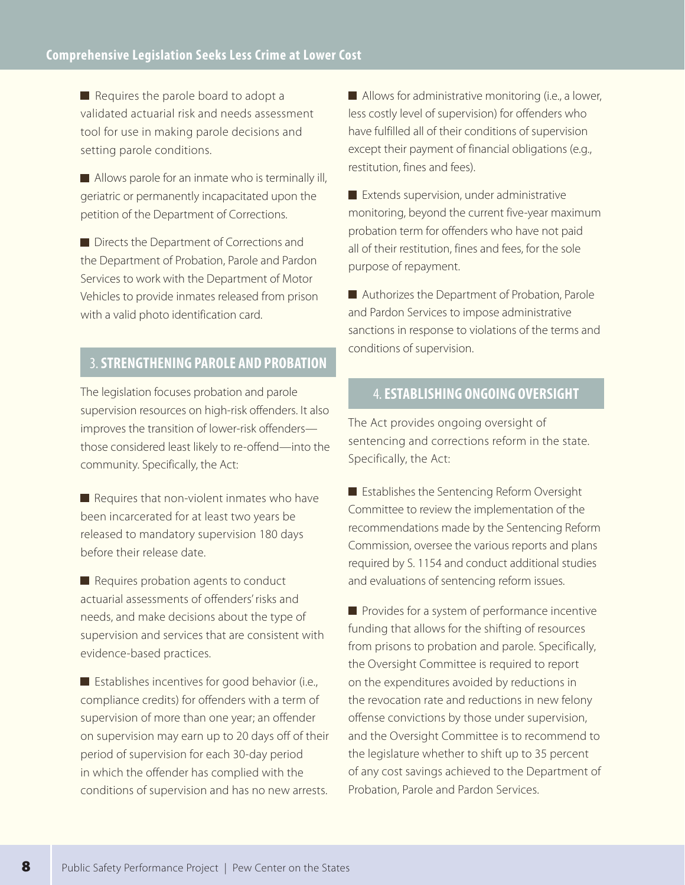Requires the parole board to adopt a validated actuarial risk and needs assessment tool for use in making parole decisions and setting parole conditions.

Allows parole for an inmate who is terminally ill, geriatric or permanently incapacitated upon the petition of the Department of Corrections.

Directs the Department of Corrections and the Department of Probation, Parole and Pardon Services to work with the Department of Motor Vehicles to provide inmates released from prison with a valid photo identification card.

## 3. **Strengthening Parole and Probation**

The legislation focuses probation and parole supervision resources on high-risk offenders. It also improves the transition of lower-risk offenders those considered least likely to re-offend—into the community. Specifically, the Act:

 $\blacksquare$  Requires that non-violent inmates who have been incarcerated for at least two years be released to mandatory supervision 180 days before their release date.

Requires probation agents to conduct actuarial assessments of offenders' risks and needs, and make decisions about the type of supervision and services that are consistent with evidence-based practices.

 $\blacksquare$  Establishes incentives for good behavior (i.e., compliance credits) for offenders with a term of supervision of more than one year; an offender on supervision may earn up to 20 days off of their period of supervision for each 30-day period in which the offender has complied with the conditions of supervision and has no new arrests.

 $\blacksquare$  Allows for administrative monitoring (i.e., a lower, less costly level of supervision) for offenders who have fulfilled all of their conditions of supervision except their payment of financial obligations (e.g., restitution, fines and fees).

**Extends supervision, under administrative** monitoring, beyond the current five-year maximum probation term for offenders who have not paid all of their restitution, fines and fees, for the sole purpose of repayment.

■ Authorizes the Department of Probation, Parole and Pardon Services to impose administrative sanctions in response to violations of the terms and conditions of supervision.

## 4.**Establishing Ongoing Oversight**

The Act provides ongoing oversight of sentencing and corrections reform in the state. Specifically, the Act:

Establishes the Sentencing Reform Oversight Committee to review the implementation of the recommendations made by the Sentencing Reform Commission, oversee the various reports and plans required by S. 1154 and conduct additional studies and evaluations of sentencing reform issues.

 $\blacksquare$  Provides for a system of performance incentive funding that allows for the shifting of resources from prisons to probation and parole. Specifically, the Oversight Committee is required to report on the expenditures avoided by reductions in the revocation rate and reductions in new felony offense convictions by those under supervision, and the Oversight Committee is to recommend to the legislature whether to shift up to 35 percent of any cost savings achieved to the Department of Probation, Parole and Pardon Services.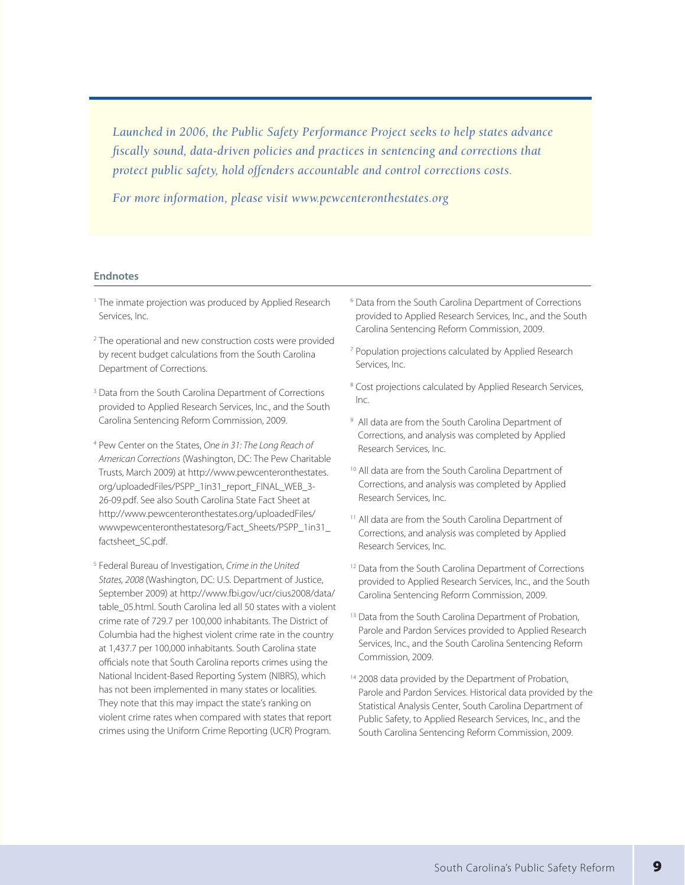*Launched in 2006, the Public Safety Performance Project seeks to help states advance fiscally sound, data-driven policies and practices in sentencing and corrections that protect public safety, hold offenders accountable and control corrections costs.*

*For more information, please visit www.pewcenteronthestates.org*

#### **Endnotes**

- <sup>1</sup> The inmate projection was produced by Applied Research Services, Inc.
- <sup>2</sup> The operational and new construction costs were provided by recent budget calculations from the South Carolina Department of Corrections.
- <sup>3</sup> Data from the South Carolina Department of Corrections provided to Applied Research Services, Inc., and the South Carolina Sentencing Reform Commission, 2009.
- <sup>4</sup> Pew Center on the States, *One in 31: The Long Reach of American Corrections* (Washington, DC: The Pew Charitable Trusts, March 2009) at http://www.pewcenteronthestates. org/uploadedFiles/PSPP\_1in31\_report\_FINAL\_WEB\_3- 26-09.pdf. See also South Carolina State Fact Sheet at http://www.pewcenteronthestates.org/uploadedFiles/ wwwpewcenteronthestatesorg/Fact\_Sheets/PSPP\_1in31\_ factsheet\_SC.pdf.
- <sup>5</sup> Federal Bureau of Investigation, *Crime in the United States, 2008* (Washington, DC: U.S. Department of Justice, September 2009) at http://www.fbi.gov/ucr/cius2008/data/ table\_05.html. South Carolina led all 50 states with a violent crime rate of 729.7 per 100,000 inhabitants. The District of Columbia had the highest violent crime rate in the country at 1,437.7 per 100,000 inhabitants. South Carolina state officials note that South Carolina reports crimes using the National Incident-Based Reporting System (NIBRS), which has not been implemented in many states or localities. They note that this may impact the state's ranking on violent crime rates when compared with states that report crimes using the Uniform Crime Reporting (UCR) Program.
- <sup>6</sup> Data from the South Carolina Department of Corrections provided to Applied Research Services, Inc., and the South Carolina Sentencing Reform Commission, 2009.
- <sup>7</sup> Population projections calculated by Applied Research Services, Inc.
- <sup>8</sup> Cost projections calculated by Applied Research Services, Inc.
- <sup>9</sup> All data are from the South Carolina Department of Corrections, and analysis was completed by Applied Research Services, Inc.
- <sup>10</sup> All data are from the South Carolina Department of Corrections, and analysis was completed by Applied Research Services, Inc.
- <sup>11</sup> All data are from the South Carolina Department of Corrections, and analysis was completed by Applied Research Services, Inc.
- <sup>12</sup> Data from the South Carolina Department of Corrections provided to Applied Research Services, Inc., and the South Carolina Sentencing Reform Commission, 2009.
- <sup>13</sup> Data from the South Carolina Department of Probation, Parole and Pardon Services provided to Applied Research Services, Inc., and the South Carolina Sentencing Reform Commission, 2009.
- <sup>14</sup> 2008 data provided by the Department of Probation, Parole and Pardon Services. Historical data provided by the Statistical Analysis Center, South Carolina Department of Public Safety, to Applied Research Services, Inc., and the South Carolina Sentencing Reform Commission, 2009.